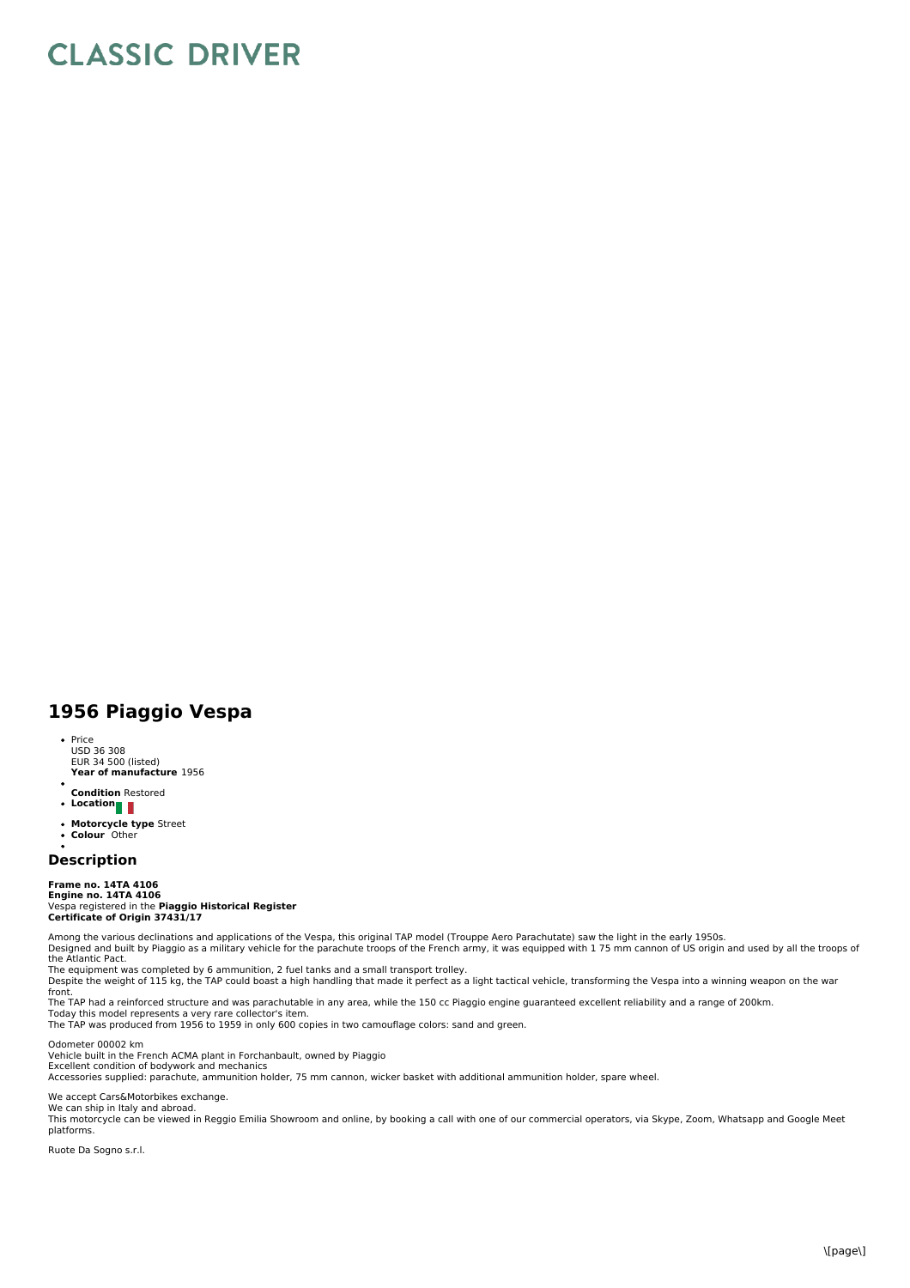## **CLASSIC DRIVER**

## **1956 Piaggio Vespa**

- **Year of manufacture** 1956 • Price USD 36 308 EUR 34 500 (listed)
- $\ddot{\phantom{a}}$
- **Condition** Restored **Location**
- 
- **Motorcycle type** Street **Colour** Other  $\bullet$
- 

## **Description**

**Frame no. 14TA 4106 Engine no. 14TA 4106** Vespa registered in the **Piaggio Historical Register Certificate of Origin 37431/17**

Among the various declinations and applications of the Vespa, this original TAP model (Trouppe Aero Parachutate) saw the light in the early 1950s. Designed and built by Piaggio as a military vehicle for the parachute troops of the French army, it was equipped with 1 75 mm cannon of US origin and used by all the troops of the Atlantic Pact.

The equipment was completed by 6 ammunition, 2 fuel tanks and a small transport trolley.<br>Despite the weight of 115 kg, the TAP could boast a high handling that made it perfect as a light tactical vehicle, transforming the

front.<br>The TAP had a reinforced structure and was parachutable in any area, while the 150 cc Piaggio engine guaranteed excellent reliability and a range of 200km.<br>Today this model represents a very rare collector's item.<br>T

Odometer 00002 km Vehicle built in the French ACMA plant in Forchanbault, owned by Piaggio

Excellent condition of bodywork and mechanics<br>Accessories supplied: parachute, ammunition holder, 75 mm cannon, wicker basket with additional ammunition holder, spare wheel.

We accept Cars&Motorbikes exchange.<br>We can ship in Italy and abroad.

This motorcycle can be viewed in Reggio Emilia Showroom and online, by booking a call with one of our commercial operators, via Skype, Zoom, Whatsapp and Google Meet<br>platforms.

Ruote Da Sogno s.r.l.